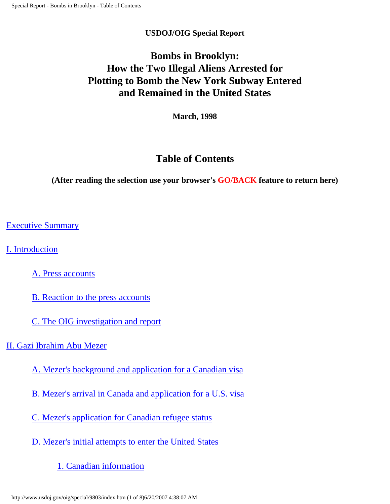#### **USDOJ/OIG Special Report**

# **Bombs in Brooklyn: How the Two Illegal Aliens Arrested for Plotting to Bomb the New York Subway Entered and Remained in the United States**

**March, 1998**

# **Table of Contents**

**(After reading the selection use your browser's GO/BACK feature to return here)**

[Executive Summary](#page-2-0)

[I. Introduction](http://www.usdoj.gov/oig/special/9803/brbrp1.htm#I.)

[A. Press accounts](http://www.usdoj.gov/oig/special/9803/brbrp1.htm#A. Press)

[B. Reaction to the press accounts](http://www.usdoj.gov/oig/special/9803/brbrp1.htm#B. Reaction)

[C. The OIG investigation and report](http://www.usdoj.gov/oig/special/9803/brbrp1.htm#C. The OIG investigation)

[II. Gazi Ibrahim Abu Mezer](http://www.usdoj.gov/oig/special/9803/brbrp1.htm#II.)

[A. Mezer's background and application for a Canadian visa](http://www.usdoj.gov/oig/special/9803/brbrp1.htm#A. Mezer)

[B. Mezer's arrival in Canada and application for a U.S. visa](http://www.usdoj.gov/oig/special/9803/brbrp1.htm#B. Mezer)

[C. Mezer's application for Canadian refugee status](http://www.usdoj.gov/oig/special/9803/brbrp1.htm#C. Mezer)

[D. Mezer's initial attempts to enter the United States](http://www.usdoj.gov/oig/special/9803/brbrp2.htm#D. Mezer)

[1. Canadian information](http://www.usdoj.gov/oig/special/9803/brbrp2.htm#1. Canadian)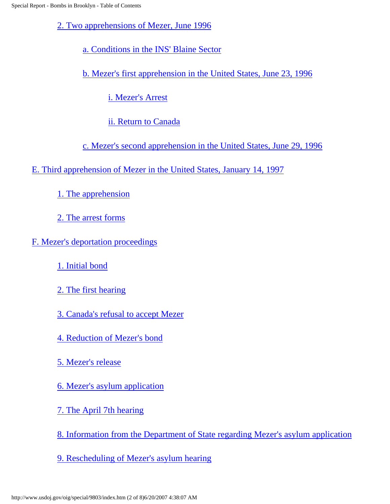[2. Two apprehensions of Mezer, June 1996](http://www.usdoj.gov/oig/special/9803/brbrp2.htm#2. Two apprehensions)

[a. Conditions in the INS' Blaine Sector](http://www.usdoj.gov/oig/special/9803/brbrp2.htm#a. Conditions)

[b. Mezer's first apprehension in the United States, June 23, 1996](http://www.usdoj.gov/oig/special/9803/brbrp2.htm#b. Mezer)

[i. Mezer's Arrest](http://www.usdoj.gov/oig/special/9803/brbrp2.htm#i. Mezer)

[ii. Return to Canada](http://www.usdoj.gov/oig/special/9803/brbrp2.htm#ii. Return)

[c. Mezer's second apprehension in the United States, June 29, 1996](http://www.usdoj.gov/oig/special/9803/brbrp2.htm#c. Mezer)

- [E. Third apprehension of Mezer in the United States, January 14, 1997](http://www.usdoj.gov/oig/special/9803/brbrp3.htm#E. Third apprehension)
	- [1. The apprehension](http://www.usdoj.gov/oig/special/9803/brbrp3.htm#1. The apprehension)
	- [2. The arrest forms](http://www.usdoj.gov/oig/special/9803/brbrp3.htm#2. The arrest)

[F. Mezer's deportation proceedings](http://www.usdoj.gov/oig/special/9803/brbrp3.htm#F. Mezer)

- [1. Initial bond](http://www.usdoj.gov/oig/special/9803/brbrp3.htm#1. Initial bond)
- [2. The first hearing](http://www.usdoj.gov/oig/special/9803/brbrp3.htm#2. The first hearing)
- [3. Canada's refusal to accept Mezer](http://www.usdoj.gov/oig/special/9803/brbrp3.htm#3. Canada)
- [4. Reduction of Mezer's bond](http://www.usdoj.gov/oig/special/9803/brbrp3.htm#4. Reduction)
- [5. Mezer's release](http://www.usdoj.gov/oig/special/9803/brbrp3.htm#5. Mezer)
- [6. Mezer's asylum application](http://www.usdoj.gov/oig/special/9803/brbrp3.htm#6. Mezer)
- [7. The April 7th hearing](http://www.usdoj.gov/oig/special/9803/brbrp4.htm#7. The April)
- [8. Information from the Department of State regarding Mezer's asylum application](http://www.usdoj.gov/oig/special/9803/brbrp4.htm#8. Information)
- [9. Rescheduling of Mezer's asylum hearing](http://www.usdoj.gov/oig/special/9803/brbrp4.htm#9. Rescheduling)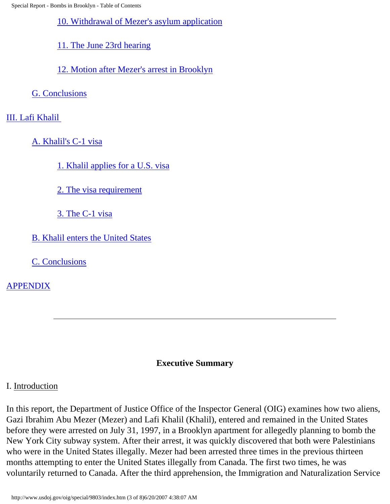Special Report - Bombs in Brooklyn - Table of Contents

[10. Withdrawal of Mezer's asylum application](http://www.usdoj.gov/oig/special/9803/brbrp4.htm#10. Withdrawal)

[11. The June 23rd hearing](http://www.usdoj.gov/oig/special/9803/brbrp4.htm#11. The June)

[12. Motion after Mezer's arrest in Brooklyn](http://www.usdoj.gov/oig/special/9803/brbrp4.htm#12. Motion)

[G. Conclusions](http://www.usdoj.gov/oig/special/9803/brbrp5.htm#G. Conclusions)

[III. Lafi Khalil](http://www.usdoj.gov/oig/special/9803/brbrp5.htm#III. Lafi Khalil) 

[A. Khalil's C-1 visa](http://www.usdoj.gov/oig/special/9803/brbrp5.htm#A. Khalil)

[1. Khalil applies for a U.S. visa](http://www.usdoj.gov/oig/special/9803/brbrp5.htm#1. Khalil applies)

[2. The visa requirement](http://www.usdoj.gov/oig/special/9803/brbrp5.htm#2. The visa)

[3. The C-1 visa](http://www.usdoj.gov/oig/special/9803/brbrp5.htm#3. The C-1 visa)

[B. Khalil enters the United States](http://www.usdoj.gov/oig/special/9803/brbrp5.htm#B. Khalil enters)

[C. Conclusions](http://www.usdoj.gov/oig/special/9803/brbrp6.htm#C.)

[APPENDIX](http://www.usdoj.gov/oig/special/9803/brbrp6.htm#APPENDIX)

### **Executive Summary**

### <span id="page-2-0"></span>I. Introduction

In this report, the Department of Justice Office of the Inspector General (OIG) examines how two aliens, Gazi Ibrahim Abu Mezer (Mezer) and Lafi Khalil (Khalil), entered and remained in the United States before they were arrested on July 31, 1997, in a Brooklyn apartment for allegedly planning to bomb the New York City subway system. After their arrest, it was quickly discovered that both were Palestinians who were in the United States illegally. Mezer had been arrested three times in the previous thirteen months attempting to enter the United States illegally from Canada. The first two times, he was voluntarily returned to Canada. After the third apprehension, the Immigration and Naturalization Service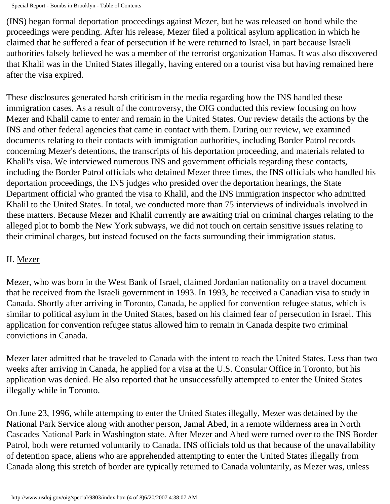(INS) began formal deportation proceedings against Mezer, but he was released on bond while the proceedings were pending. After his release, Mezer filed a political asylum application in which he claimed that he suffered a fear of persecution if he were returned to Israel, in part because Israeli authorities falsely believed he was a member of the terrorist organization Hamas. It was also discovered that Khalil was in the United States illegally, having entered on a tourist visa but having remained here after the visa expired.

These disclosures generated harsh criticism in the media regarding how the INS handled these immigration cases. As a result of the controversy, the OIG conducted this review focusing on how Mezer and Khalil came to enter and remain in the United States. Our review details the actions by the INS and other federal agencies that came in contact with them. During our review, we examined documents relating to their contacts with immigration authorities, including Border Patrol records concerning Mezer's detentions, the transcripts of his deportation proceeding, and materials related to Khalil's visa. We interviewed numerous INS and government officials regarding these contacts, including the Border Patrol officials who detained Mezer three times, the INS officials who handled his deportation proceedings, the INS judges who presided over the deportation hearings, the State Department official who granted the visa to Khalil, and the INS immigration inspector who admitted Khalil to the United States. In total, we conducted more than 75 interviews of individuals involved in these matters. Because Mezer and Khalil currently are awaiting trial on criminal charges relating to the alleged plot to bomb the New York subways, we did not touch on certain sensitive issues relating to their criminal charges, but instead focused on the facts surrounding their immigration status.

### II. Mezer

Mezer, who was born in the West Bank of Israel, claimed Jordanian nationality on a travel document that he received from the Israeli government in 1993. In 1993, he received a Canadian visa to study in Canada. Shortly after arriving in Toronto, Canada, he applied for convention refugee status, which is similar to political asylum in the United States, based on his claimed fear of persecution in Israel. This application for convention refugee status allowed him to remain in Canada despite two criminal convictions in Canada.

Mezer later admitted that he traveled to Canada with the intent to reach the United States. Less than two weeks after arriving in Canada, he applied for a visa at the U.S. Consular Office in Toronto, but his application was denied. He also reported that he unsuccessfully attempted to enter the United States illegally while in Toronto.

On June 23, 1996, while attempting to enter the United States illegally, Mezer was detained by the National Park Service along with another person, Jamal Abed, in a remote wilderness area in North Cascades National Park in Washington state. After Mezer and Abed were turned over to the INS Border Patrol, both were returned voluntarily to Canada. INS officials told us that because of the unavailability of detention space, aliens who are apprehended attempting to enter the United States illegally from Canada along this stretch of border are typically returned to Canada voluntarily, as Mezer was, unless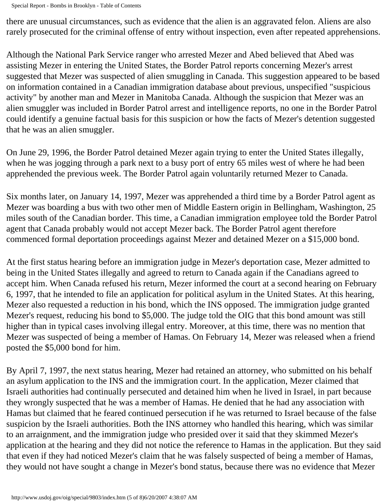there are unusual circumstances, such as evidence that the alien is an aggravated felon. Aliens are also rarely prosecuted for the criminal offense of entry without inspection, even after repeated apprehensions.

Although the National Park Service ranger who arrested Mezer and Abed believed that Abed was assisting Mezer in entering the United States, the Border Patrol reports concerning Mezer's arrest suggested that Mezer was suspected of alien smuggling in Canada. This suggestion appeared to be based on information contained in a Canadian immigration database about previous, unspecified "suspicious activity" by another man and Mezer in Manitoba Canada. Although the suspicion that Mezer was an alien smuggler was included in Border Patrol arrest and intelligence reports, no one in the Border Patrol could identify a genuine factual basis for this suspicion or how the facts of Mezer's detention suggested that he was an alien smuggler.

On June 29, 1996, the Border Patrol detained Mezer again trying to enter the United States illegally, when he was jogging through a park next to a busy port of entry 65 miles west of where he had been apprehended the previous week. The Border Patrol again voluntarily returned Mezer to Canada.

Six months later, on January 14, 1997, Mezer was apprehended a third time by a Border Patrol agent as Mezer was boarding a bus with two other men of Middle Eastern origin in Bellingham, Washington, 25 miles south of the Canadian border. This time, a Canadian immigration employee told the Border Patrol agent that Canada probably would not accept Mezer back. The Border Patrol agent therefore commenced formal deportation proceedings against Mezer and detained Mezer on a \$15,000 bond.

At the first status hearing before an immigration judge in Mezer's deportation case, Mezer admitted to being in the United States illegally and agreed to return to Canada again if the Canadians agreed to accept him. When Canada refused his return, Mezer informed the court at a second hearing on February 6, 1997, that he intended to file an application for political asylum in the United States. At this hearing, Mezer also requested a reduction in his bond, which the INS opposed. The immigration judge granted Mezer's request, reducing his bond to \$5,000. The judge told the OIG that this bond amount was still higher than in typical cases involving illegal entry. Moreover, at this time, there was no mention that Mezer was suspected of being a member of Hamas. On February 14, Mezer was released when a friend posted the \$5,000 bond for him.

By April 7, 1997, the next status hearing, Mezer had retained an attorney, who submitted on his behalf an asylum application to the INS and the immigration court. In the application, Mezer claimed that Israeli authorities had continually persecuted and detained him when he lived in Israel, in part because they wrongly suspected that he was a member of Hamas. He denied that he had any association with Hamas but claimed that he feared continued persecution if he was returned to Israel because of the false suspicion by the Israeli authorities. Both the INS attorney who handled this hearing, which was similar to an arraignment, and the immigration judge who presided over it said that they skimmed Mezer's application at the hearing and they did not notice the reference to Hamas in the application. But they said that even if they had noticed Mezer's claim that he was falsely suspected of being a member of Hamas, they would not have sought a change in Mezer's bond status, because there was no evidence that Mezer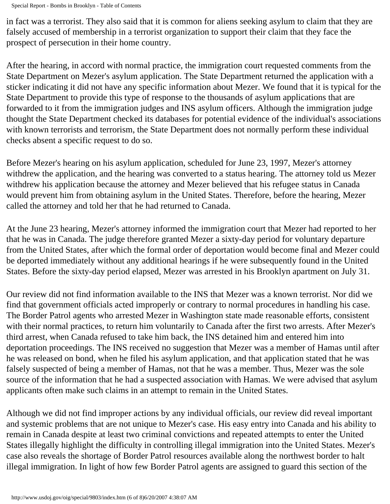Special Report - Bombs in Brooklyn - Table of Contents

in fact was a terrorist. They also said that it is common for aliens seeking asylum to claim that they are falsely accused of membership in a terrorist organization to support their claim that they face the prospect of persecution in their home country.

After the hearing, in accord with normal practice, the immigration court requested comments from the State Department on Mezer's asylum application. The State Department returned the application with a sticker indicating it did not have any specific information about Mezer. We found that it is typical for the State Department to provide this type of response to the thousands of asylum applications that are forwarded to it from the immigration judges and INS asylum officers. Although the immigration judge thought the State Department checked its databases for potential evidence of the individual's associations with known terrorists and terrorism, the State Department does not normally perform these individual checks absent a specific request to do so.

Before Mezer's hearing on his asylum application, scheduled for June 23, 1997, Mezer's attorney withdrew the application, and the hearing was converted to a status hearing. The attorney told us Mezer withdrew his application because the attorney and Mezer believed that his refugee status in Canada would prevent him from obtaining asylum in the United States. Therefore, before the hearing, Mezer called the attorney and told her that he had returned to Canada.

At the June 23 hearing, Mezer's attorney informed the immigration court that Mezer had reported to her that he was in Canada. The judge therefore granted Mezer a sixty-day period for voluntary departure from the United States, after which the formal order of deportation would become final and Mezer could be deported immediately without any additional hearings if he were subsequently found in the United States. Before the sixty-day period elapsed, Mezer was arrested in his Brooklyn apartment on July 31.

Our review did not find information available to the INS that Mezer was a known terrorist. Nor did we find that government officials acted improperly or contrary to normal procedures in handling his case. The Border Patrol agents who arrested Mezer in Washington state made reasonable efforts, consistent with their normal practices, to return him voluntarily to Canada after the first two arrests. After Mezer's third arrest, when Canada refused to take him back, the INS detained him and entered him into deportation proceedings. The INS received no suggestion that Mezer was a member of Hamas until after he was released on bond, when he filed his asylum application, and that application stated that he was falsely suspected of being a member of Hamas, not that he was a member. Thus, Mezer was the sole source of the information that he had a suspected association with Hamas. We were advised that asylum applicants often make such claims in an attempt to remain in the United States.

Although we did not find improper actions by any individual officials, our review did reveal important and systemic problems that are not unique to Mezer's case. His easy entry into Canada and his ability to remain in Canada despite at least two criminal convictions and repeated attempts to enter the United States illegally highlight the difficulty in controlling illegal immigration into the United States. Mezer's case also reveals the shortage of Border Patrol resources available along the northwest border to halt illegal immigration. In light of how few Border Patrol agents are assigned to guard this section of the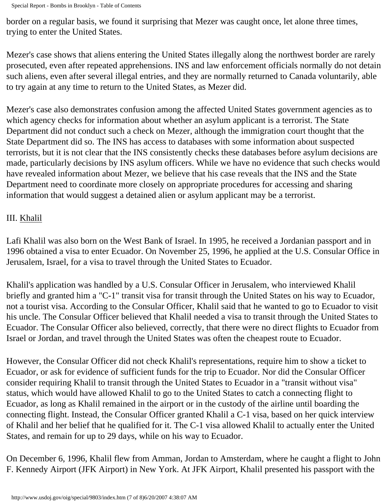Special Report - Bombs in Brooklyn - Table of Contents

border on a regular basis, we found it surprising that Mezer was caught once, let alone three times, trying to enter the United States.

Mezer's case shows that aliens entering the United States illegally along the northwest border are rarely prosecuted, even after repeated apprehensions. INS and law enforcement officials normally do not detain such aliens, even after several illegal entries, and they are normally returned to Canada voluntarily, able to try again at any time to return to the United States, as Mezer did.

Mezer's case also demonstrates confusion among the affected United States government agencies as to which agency checks for information about whether an asylum applicant is a terrorist. The State Department did not conduct such a check on Mezer, although the immigration court thought that the State Department did so. The INS has access to databases with some information about suspected terrorists, but it is not clear that the INS consistently checks these databases before asylum decisions are made, particularly decisions by INS asylum officers. While we have no evidence that such checks would have revealed information about Mezer, we believe that his case reveals that the INS and the State Department need to coordinate more closely on appropriate procedures for accessing and sharing information that would suggest a detained alien or asylum applicant may be a terrorist.

## III. Khalil

Lafi Khalil was also born on the West Bank of Israel. In 1995, he received a Jordanian passport and in 1996 obtained a visa to enter Ecuador. On November 25, 1996, he applied at the U.S. Consular Office in Jerusalem, Israel, for a visa to travel through the United States to Ecuador.

Khalil's application was handled by a U.S. Consular Officer in Jerusalem, who interviewed Khalil briefly and granted him a "C-1" transit visa for transit through the United States on his way to Ecuador, not a tourist visa. According to the Consular Officer, Khalil said that he wanted to go to Ecuador to visit his uncle. The Consular Officer believed that Khalil needed a visa to transit through the United States to Ecuador. The Consular Officer also believed, correctly, that there were no direct flights to Ecuador from Israel or Jordan, and travel through the United States was often the cheapest route to Ecuador.

However, the Consular Officer did not check Khalil's representations, require him to show a ticket to Ecuador, or ask for evidence of sufficient funds for the trip to Ecuador. Nor did the Consular Officer consider requiring Khalil to transit through the United States to Ecuador in a "transit without visa" status, which would have allowed Khalil to go to the United States to catch a connecting flight to Ecuador, as long as Khalil remained in the airport or in the custody of the airline until boarding the connecting flight. Instead, the Consular Officer granted Khalil a C-1 visa, based on her quick interview of Khalil and her belief that he qualified for it. The C-1 visa allowed Khalil to actually enter the United States, and remain for up to 29 days, while on his way to Ecuador.

On December 6, 1996, Khalil flew from Amman, Jordan to Amsterdam, where he caught a flight to John F. Kennedy Airport (JFK Airport) in New York. At JFK Airport, Khalil presented his passport with the